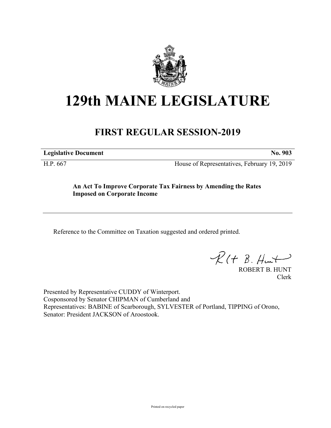

## **129th MAINE LEGISLATURE**

## **FIRST REGULAR SESSION-2019**

**Legislative Document No. 903**

H.P. 667 House of Representatives, February 19, 2019

## **An Act To Improve Corporate Tax Fairness by Amending the Rates Imposed on Corporate Income**

Reference to the Committee on Taxation suggested and ordered printed.

 $R(t B. Hmt)$ 

ROBERT B. HUNT Clerk

Presented by Representative CUDDY of Winterport. Cosponsored by Senator CHIPMAN of Cumberland and Representatives: BABINE of Scarborough, SYLVESTER of Portland, TIPPING of Orono, Senator: President JACKSON of Aroostook.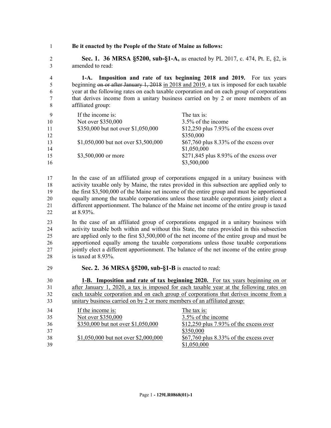**Be it enacted by the People of the State of Maine as follows:**

 **Sec. 1. 36 MRSA §5200, sub-§1-A,** as enacted by PL 2017, c. 474, Pt. E, §2, is amended to read:

 **1-A. Imposition and rate of tax beginning 2018 and 2019.** For tax years beginning on or after January 1, 2018 in 2018 and 2019, a tax is imposed for each taxable year at the following rates on each taxable corporation and on each group of corporations that derives income from a unitary business carried on by 2 or more members of an affiliated group:

| $\mathbf{Q}$ | If the income is:                    | The tax is:                                |
|--------------|--------------------------------------|--------------------------------------------|
| 10           | Not over \$350,000                   | 3.5% of the income                         |
| 11           | \$350,000 but not over \$1,050,000   | $$12,250$ plus 7.93% of the excess over    |
| 12           |                                      | \$350,000                                  |
| 13           | \$1,050,000 but not over \$3,500,000 | \$67,760 plus 8.33% of the excess over     |
| 14           |                                      | \$1,050,000                                |
| 15           | \$3,500,000 or more                  | \$271,845 plus $8.93\%$ of the excess over |
| 16           |                                      | \$3,500,000                                |

 In the case of an affiliated group of corporations engaged in a unitary business with activity taxable only by Maine, the rates provided in this subsection are applied only to the first \$3,500,000 of the Maine net income of the entire group and must be apportioned equally among the taxable corporations unless those taxable corporations jointly elect a different apportionment. The balance of the Maine net income of the entire group is taxed at 8.93%.

 In the case of an affiliated group of corporations engaged in a unitary business with activity taxable both within and without this State, the rates provided in this subsection are applied only to the first \$3,500,000 of the net income of the entire group and must be apportioned equally among the taxable corporations unless those taxable corporations jointly elect a different apportionment. The balance of the net income of the entire group is taxed at 8.93%.

**Sec. 2. 36 MRSA §5200, sub-§1-B** is enacted to read:

 **1-B. Imposition and rate of tax beginning 2020.** For tax years beginning on or after January 1, 2020, a tax is imposed for each taxable year at the following rates on each taxable corporation and on each group of corporations that derives income from a unitary business carried on by 2 or more members of an affiliated group: If the income is: The tax is: Not over \$350,000 3.5% of the income \$350,000 but not over \$1,050,000 \$12,250 plus 7.93% of the excess over \$350,000 \$1,050,000 but not over \$2,000,000 \$67,760 plus 8.33% of the excess over \$1,050,000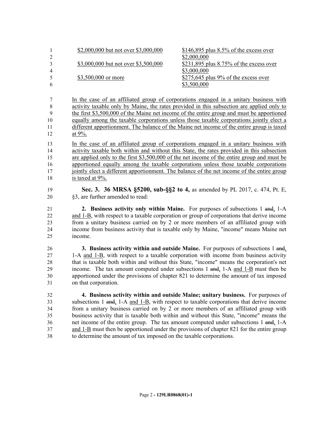|   | \$2,000,000 but not over \$3,000,000 | $$146,895$ plus $8.5\%$ of the excess over |
|---|--------------------------------------|--------------------------------------------|
|   |                                      | \$2,000,000                                |
|   | \$3,000,000 but not over \$3,500,000 | \$231,895 plus $8.75\%$ of the excess over |
| 4 |                                      | \$3,000,000                                |
| 5 | \$3,500,000 or more                  | \$275,645 plus $9\%$ of the excess over    |
| 6 |                                      | \$3,500,000                                |

 In the case of an affiliated group of corporations engaged in a unitary business with activity taxable only by Maine, the rates provided in this subsection are applied only to the first \$3,500,000 of the Maine net income of the entire group and must be apportioned equally among the taxable corporations unless those taxable corporations jointly elect a different apportionment. The balance of the Maine net income of the entire group is taxed at 9%.

 In the case of an affiliated group of corporations engaged in a unitary business with activity taxable both within and without this State, the rates provided in this subsection are applied only to the first \$3,500,000 of the net income of the entire group and must be apportioned equally among the taxable corporations unless those taxable corporations 17 jointly elect a different apportionment. The balance of the net income of the entire group is taxed at 9%.

- **Sec. 3. 36 MRSA §5200, sub-§§2 to 4,** as amended by PL 2017, c. 474, Pt. E, §3, are further amended to read:
- **2. Business activity only within Maine.** For purposes of subsections 1 and, 1-A and 1-B, with respect to a taxable corporation or group of corporations that derive income from a unitary business carried on by 2 or more members of an affiliated group with income from business activity that is taxable only by Maine, "income" means Maine net income.

 **3. Business activity within and outside Maine.** For purposes of subsections 1 and, 1-A and 1-B, with respect to a taxable corporation with income from business activity that is taxable both within and without this State, "income" means the corporation's net income. The tax amount computed under subsections 1 and, 1-A and 1-B must then be apportioned under the provisions of chapter 821 to determine the amount of tax imposed on that corporation.

 **4. Business activity within and outside Maine; unitary business.** For purposes of subsections 1 and, 1-A and 1-B, with respect to taxable corporations that derive income from a unitary business carried on by 2 or more members of an affiliated group with business activity that is taxable both within and without this State, "income" means the net income of the entire group. The tax amount computed under subsections 1 and, 1-A and 1-B must then be apportioned under the provisions of chapter 821 for the entire group to determine the amount of tax imposed on the taxable corporations.